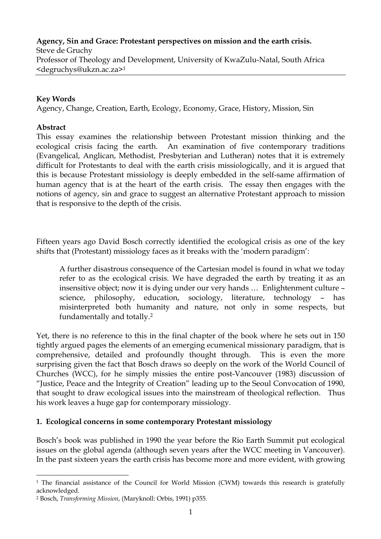**Agency, Sin and Grace: Protestant perspectives on mission and the earth crisis.**  Steve de Gruchy Professor of Theology and Development, University of KwaZulu-Natal, South Africa <degruchys@ukzn.ac.za[>1](#page-0-0)

## **Key Words**

Agency, Change, Creation, Earth, Ecology, Economy, Grace, History, Mission, Sin

### **Abstract**

This essay examines the relationship between Protestant mission thinking and the ecological crisis facing the earth. An examination of five contemporary traditions (Evangelical, Anglican, Methodist, Presbyterian and Lutheran) notes that it is extremely difficult for Protestants to deal with the earth crisis missiologically, and it is argued that this is because Protestant missiology is deeply embedded in the self-same affirmation of human agency that is at the heart of the earth crisis. The essay then engages with the notions of agency, sin and grace to suggest an alternative Protestant approach to mission that is responsive to the depth of the crisis.

Fifteen years ago David Bosch correctly identified the ecological crisis as one of the key shifts that (Protestant) missiology faces as it breaks with the 'modern paradigm':

A further disastrous consequence of the Cartesian model is found in what we today refer to as the ecological crisis. We have degraded the earth by treating it as an insensitive object; now it is dying under our very hands … Enlightenment culture – science, philosophy, education, sociology, literature, technology – has misinterpreted both humanity and nature, not only in some respects, but fundamentally and totally.[2](#page-0-1)

Yet, there is no reference to this in the final chapter of the book where he sets out in 150 tightly argued pages the elements of an emerging ecumenical missionary paradigm, that is comprehensive, detailed and profoundly thought through. This is even the more surprising given the fact that Bosch draws so deeply on the work of the World Council of Churches (WCC), for he simply missies the entire post-Vancouver (1983) discussion of "Justice, Peace and the Integrity of Creation" leading up to the Seoul Convocation of 1990, that sought to draw ecological issues into the mainstream of theological reflection. Thus his work leaves a huge gap for contemporary missiology.

### **1. Ecological concerns in some contemporary Protestant missiology**

Bosch's book was published in 1990 the year before the Rio Earth Summit put ecological issues on the global agenda (although seven years after the WCC meeting in Vancouver). In the past sixteen years the earth crisis has become more and more evident, with growing

<span id="page-0-0"></span> $\overline{a}$ <sup>1</sup> The financial assistance of the Council for World Mission (CWM) towards this research is gratefully

<span id="page-0-1"></span>acknowledged. 2 Bosch, *Transforming Mission*, (Maryknoll: Orbis, 1991) p355.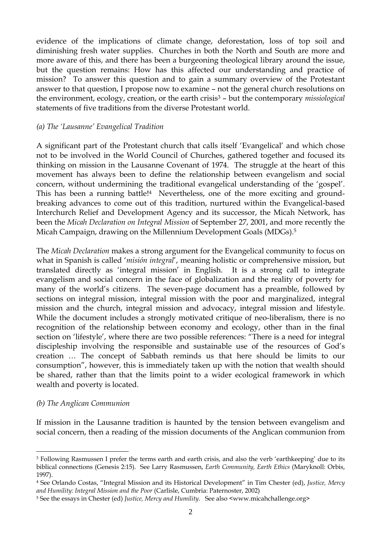evidence of the implications of climate change, deforestation, loss of top soil and diminishing fresh water supplies. Churches in both the North and South are more and more aware of this, and there has been a burgeoning theological library around the issue, but the question remains: How has this affected our understanding and practice of mission? To answer this question and to gain a summary overview of the Protestant answer to that question, I propose now to examine – not the general church resolutions on the environment, ecology, creation, or the earth crisi[s3](#page-1-0) – but the contemporary *missiological* statements of five traditions from the diverse Protestant world.

## *(a) The 'Lausanne' Evangelical Tradition*

A significant part of the Protestant church that calls itself 'Evangelical' and which chose not to be involved in the World Council of Churches, gathered together and focused its thinking on mission in the Lausanne Covenant of 1974. The struggle at the heart of this movement has always been to define the relationship between evangelism and social concern, without undermining the traditional evangelical understanding of the 'gospel'. This has been a running battle!<sup>4</sup> Nevertheless, one of the more exciting and groundbreaking advances to come out of this tradition, nurtured within the Evangelical-based Interchurch Relief and Development Agency and its successor, the Micah Network, has been the *Micah Declaration on Integral Mission* of September 27, 2001, and more recently the Micah Campaign, drawing on the Millennium Development Goals (MDGs).[5](#page-1-2) 

The *Micah Declaration* makes a strong argument for the Evangelical community to focus on what in Spanish is called '*misión integral*', meaning holistic or comprehensive mission, but translated directly as 'integral mission' in English. It is a strong call to integrate evangelism and social concern in the face of globalization and the reality of poverty for many of the world's citizens. The seven-page document has a preamble, followed by sections on integral mission, integral mission with the poor and marginalized, integral mission and the church, integral mission and advocacy, integral mission and lifestyle. While the document includes a strongly motivated critique of neo-liberalism, there is no recognition of the relationship between economy and ecology, other than in the final section on 'lifestyle', where there are two possible references: "There is a need for integral discipleship involving the responsible and sustainable use of the resources of God's creation … The concept of Sabbath reminds us that here should be limits to our consumption", however, this is immediately taken up with the notion that wealth should be shared, rather than that the limits point to a wider ecological framework in which wealth and poverty is located.

# *(b) The Anglican Communion*

 $\overline{a}$ 

If mission in the Lausanne tradition is haunted by the tension between evangelism and social concern, then a reading of the mission documents of the Anglican communion from

<span id="page-1-0"></span><sup>3</sup> Following Rasmussen I prefer the terms earth and earth crisis, and also the verb 'earthkeeping' due to its biblical connections (Genesis 2:15). See Larry Rasmussen, *Earth Community, Earth Ethics* (Maryknoll: Orbis, 1997).

<span id="page-1-1"></span><sup>4</sup> See Orlando Costas, "Integral Mission and its Historical Development" in Tim Chester (ed), *Justice, Mercy and Humility: Integral Mission and the Poor* (Carlisle, Cumbria: Paternoster, 2002)

<span id="page-1-2"></span><sup>5</sup> See the essays in Chester (ed) *Justice, Mercy and Humility*. See also <www.micahchallenge.org>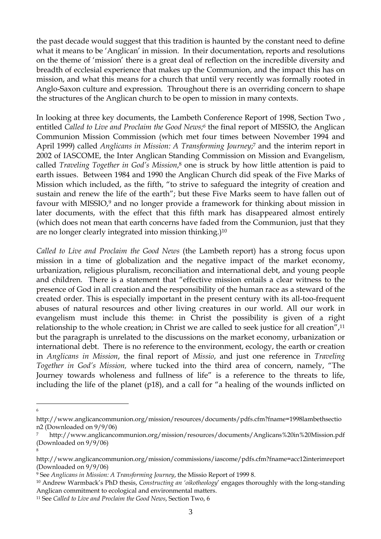the past decade would suggest that this tradition is haunted by the constant need to define what it means to be 'Anglican' in mission. In their documentation, reports and resolutions on the theme of 'mission' there is a great deal of reflection on the incredible diversity and breadth of ecclesial experience that makes up the Communion, and the impact this has on mission, and what this means for a church that until very recently was formally rooted in Anglo-Saxon culture and expression. Throughout there is an overriding concern to shape the structures of the Anglican church to be open to mission in many contexts.

In looking at three key documents, the Lambeth Conference Report of 1998, Section Two , entitled *Called to Live and Proclaim the Good News[;6](#page-2-0)* the final report of MISSIO, the Anglican Communion Mission Commission (which met four times between November 1994 and April 1999) called *Anglicans in Mission: A Transforming Journey*; [7](#page-2-1) and the interim report in 2002 of IASCOME, the Inter Anglican Standing Commission on Mission and Evangelism, called *Traveling Together in God's Mission*, [8](#page-2-2) one is struck by how little attention is paid to earth issues. Between 1984 and 1990 the Anglican Church did speak of the Five Marks of Mission which included, as the fifth, "to strive to safeguard the integrity of creation and sustain and renew the life of the earth"; but these Five Marks seem to have fallen out of favour with MISSIO,<sup>9</sup> and no longer provide a framework for thinking about mission in later documents, with the effect that this fifth mark has disappeared almost entirely (which does not mean that earth concerns have faded from the Communion, just that they are no longer clearly integrated into mission thinking.[\)10](#page-2-4)

*Called to Live and Proclaim the Good News* (the Lambeth report) has a strong focus upon mission in a time of globalization and the negative impact of the market economy, urbanization, religious pluralism, reconciliation and international debt, and young people and children. There is a statement that "effective mission entails a clear witness to the presence of God in all creation and the responsibility of the human race as a steward of the created order. This is especially important in the present century with its all-too-frequent abuses of natural resources and other living creatures in our world. All our work in evangelism must include this theme: in Christ the possibility is given of a right relationship to the whole creation; in Christ we are called to seek justice for all creation",<sup>11</sup> but the paragraph is unrelated to the discussions on the market economy, urbanization or international debt. There is no reference to the environment, ecology, the earth or creation in *Anglicans in Mission*, the final report of *Missio*, and just one reference in *Traveling Together in God's Mission,* where tucked into the third area of concern, namely, "The Journey towards wholeness and fullness of life" is a reference to the threats to life, including the life of the planet (p18), and a call for "a healing of the wounds inflicted on

8

 $\overline{a}$ 6

<span id="page-2-0"></span>[http://www.anglicancommunion.org/mission/resources/documents/pdfs.cfm?fname=1998lambethsectio](http://www.anglicancommunion.org/mission/resources/documents/pdfs.cfm?fname=1998lambethsection2) [n2](http://www.anglicancommunion.org/mission/resources/documents/pdfs.cfm?fname=1998lambethsection2) (Downloaded on 9/9/06)

<span id="page-2-1"></span><sup>7</sup> http://www.anglicancommunion.org/mission/resources/documents/Anglicans%20in%20Mission.pdf (Downloaded on 9/9/06)

<span id="page-2-2"></span>http://www.anglicancommunion.org/mission/commissions/iascome/pdfs.cfm?fname=acc12interimreport (Downloaded on 9/9/06)

<span id="page-2-3"></span><sup>9</sup> See *Anglicans in Mission: A Transforming Journey*, the Missio Report of 1999 8.

<span id="page-2-4"></span><sup>10</sup> Andrew Warmback's PhD thesis, *Constructing an 'oikotheology*' engages thoroughly with the long-standing Anglican commitment to ecological and environmental matters.

<span id="page-2-5"></span><sup>11</sup> See *Called to Live and Proclaim the Good News*, Section Two, 6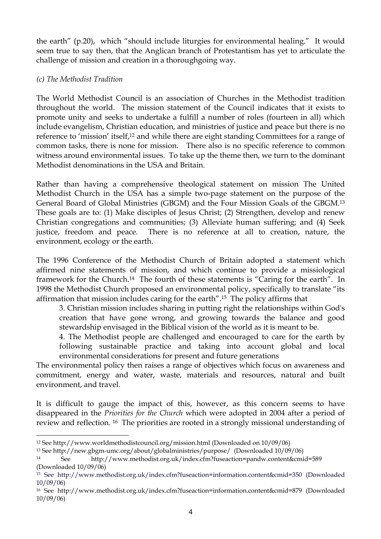the earth" (p.20), which "should include liturgies for environmental healing." It would seem true to say then, that the Anglican branch of Protestantism has yet to articulate the challenge of mission and creation in a thoroughgoing way.

# *(c) The Methodist Tradition*

The World Methodist Council is an association of Churches in the Methodist tradition throughout the world. The mission statement of the Council indicates that it exists to promote unity and seeks to undertake a fulfill a number of roles (fourteen in all) which include evangelism, Christian education, and ministries of justice and peace but there is no reference to 'mission' itself[,12](#page-3-0) and while there are eight standing Committees for a range of common tasks, there is none for mission. There also is no specific reference to common witness around environmental issues. To take up the theme then, we turn to the dominant Methodist denominations in the USA and Britain.

Rather than having a comprehensive theological statement on mission The United Methodist Church in the USA has a simple two-page statement on the purpose of the General Board of Global Ministries (GBGM) and the Four Mission Goals of the GBGM[.13](#page-3-1)  These goals are to: (1) Make disciples of Jesus Christ; (2) Strengthen, develop and renew Christian congregations and communities; (3) Alleviate human suffering; and (4) Seek justice, freedom and peace. There is no reference at all to creation, nature, the environment, ecology or the earth.

The 1996 Conference of the Methodist Church of Britain adopted a statement which affirmed nine statements of mission, and which continue to provide a missiological framework for the Church.<sup>14</sup> The fourth of these statements is "Caring for the earth". In 1998 the Methodist Church proposed an environmental policy, specifically to translate "its affirmation that mission includes caring for the earth"[.15](#page-3-3) The policy affirms that

3. Christian mission includes sharing in putting right the relationships within God's creation that have gone wrong, and growing towards the balance and good stewardship envisaged in the Biblical vision of the world as it is meant to be.

4. The Methodist people are challenged and encouraged to care for the earth by following sustainable practice and taking into account global and local environmental considerations for present and future generations

The environmental policy then raises a range of objectives which focus on awareness and commitment, energy and water, waste, materials and resources, natural and built environment, and travel.

It is difficult to gauge the impact of this, however, as this concern seems to have disappeared in the *Priorities for the Church* which were adopted in 2004 after a period of review and reflection. [16](#page-3-4) The priorities are rooted in a strongly missional understanding of

<span id="page-3-0"></span> $\overline{a}$ 12 See <http://www.worldmethodistcouncil.org/mission.html> (Downloaded on 10/09/06)

<span id="page-3-1"></span><sup>13</sup> See http://new.gbgm-umc.org/about/globalministries/purpose/ (Downloaded 10/09/06)

<span id="page-3-2"></span><sup>14</sup> See http://www.methodist.org.uk/index.cfm?fuseaction=pandw.content&cmid=589 (Downloaded 10/09/06)

<span id="page-3-3"></span><sup>15</sup> See http://www.methodist.org.uk/index.cfm?fuseaction=information.content&cmid=350 (Downloaded 10/09/06)

<span id="page-3-4"></span><sup>16</sup> See <http://www.methodist.org.uk/index.cfm?fuseaction=information.content&cmid=879>(Downloaded 10/09/06)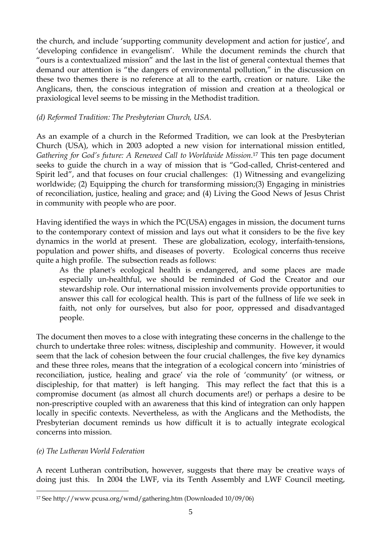the church, and include 'supporting community development and action for justice', and 'developing confidence in evangelism'. While the document reminds the church that "ours is a contextualized mission" and the last in the list of general contextual themes that demand our attention is "the dangers of environmental pollution," in the discussion on these two themes there is no reference at all to the earth, creation or nature. Like the Anglicans, then, the conscious integration of mission and creation at a theological or praxiological level seems to be missing in the Methodist tradition.

# *(d) Reformed Tradition: The Presbyterian Church, USA.*

As an example of a church in the Reformed Tradition, we can look at the Presbyterian Church (USA), which in 2003 adopted a new vision for international mission entitled, *Gathering for God's future: A Renewed Call to Worldwide Mission.*[17](#page-4-0) This ten page document seeks to guide the church in a way of mission that is "God-called, Christ-centered and Spirit led", and that focuses on four crucial challenges: (1) Witnessing and evangelizing worldwide; (2) Equipping the church for transforming mission;(3) Engaging in ministries of reconciliation, justice, healing and grace; and (4) Living the Good News of Jesus Christ in community with people who are poor.

Having identified the ways in which the PC(USA) engages in mission, the document turns to the contemporary context of mission and lays out what it considers to be the five key dynamics in the world at present. These are globalization, ecology, interfaith-tensions, population and power shifts, and diseases of poverty. Ecological concerns thus receive quite a high profile. The subsection reads as follows:

As the planet's ecological health is endangered, and some places are made especially un-healthful, we should be reminded of God the Creator and our stewardship role. Our international mission involvements provide opportunities to answer this call for ecological health. This is part of the fullness of life we seek in faith, not only for ourselves, but also for poor, oppressed and disadvantaged people.

The document then moves to a close with integrating these concerns in the challenge to the church to undertake three roles: witness, discipleship and community. However, it would seem that the lack of cohesion between the four crucial challenges, the five key dynamics and these three roles, means that the integration of a ecological concern into 'ministries of reconciliation, justice, healing and grace' via the role of 'community' (or witness, or discipleship, for that matter) is left hanging. This may reflect the fact that this is a compromise document (as almost all church documents are!) or perhaps a desire to be non-prescriptive coupled with an awareness that this kind of integration can only happen locally in specific contexts. Nevertheless, as with the Anglicans and the Methodists, the Presbyterian document reminds us how difficult it is to actually integrate ecological concerns into mission.

# *(e) The Lutheran World Federation*

 $\overline{a}$ 

A recent Lutheran contribution, however, suggests that there may be creative ways of doing just this. In 2004 the LWF, via its Tenth Assembly and LWF Council meeting,

<span id="page-4-0"></span><sup>17</sup> See <http://www.pcusa.org/wmd/gathering.htm> (Downloaded 10/09/06)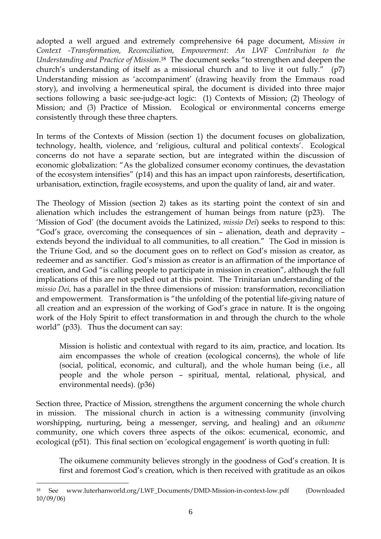adopted a well argued and extremely comprehensive 64 page document, *Mission in Context -Transformation, Reconciliation, Empowerment: An LWF Contribution to the Understanding and Practice of Mission*. [18](#page-5-0) The document seeks "to strengthen and deepen the church's understanding of itself as a missional church and to live it out fully." (p7) Understanding mission as 'accompaniment' (drawing heavily from the Emmaus road story), and involving a hermeneutical spiral, the document is divided into three major sections following a basic see-judge-act logic: (1) Contexts of Mission; (2) Theology of Mission; and (3) Practice of Mission. Ecological or environmental concerns emerge consistently through these three chapters.

In terms of the Contexts of Mission (section 1) the document focuses on globalization, technology, health, violence, and 'religious, cultural and political contexts'. Ecological concerns do not have a separate section, but are integrated within the discussion of economic globalization: "As the globalized consumer economy continues, the devastation of the ecosystem intensifies" (p14) and this has an impact upon rainforests, desertification, urbanisation, extinction, fragile ecosystems, and upon the quality of land, air and water.

The Theology of Mission (section 2) takes as its starting point the context of sin and alienation which includes the estrangement of human beings from nature (p23). The 'Mission of God' (the document avoids the Latinized, *missio Dei*) seeks to respond to this: "God's grace, overcoming the consequences of sin – alienation, death and depravity – extends beyond the individual to all communities, to all creation." The God in mission is the Triune God, and so the document goes on to reflect on God's mission as creator, as redeemer and as sanctifier. God's mission as creator is an affirmation of the importance of creation, and God "is calling people to participate in mission in creation", although the full implications of this are not spelled out at this point. The Trinitarian understanding of the *missio Dei,* has a parallel in the three dimensions of mission: transformation, reconciliation and empowerment. Transformation is "the unfolding of the potential life-giving nature of all creation and an expression of the working of God's grace in nature. It is the ongoing work of the Holy Spirit to effect transformation in and through the church to the whole world" (p33). Thus the document can say:

Mission is holistic and contextual with regard to its aim, practice, and location. Its aim encompasses the whole of creation (ecological concerns), the whole of life (social, political, economic, and cultural), and the whole human being (i.e., all people and the whole person – spiritual, mental, relational, physical, and environmental needs). (p36)

Section three, Practice of Mission, strengthens the argument concerning the whole church in mission. The missional church in action is a witnessing community (involving worshipping, nurturing, being a messenger, serving, and healing) and an *oikumene* community, one which covers three aspects of the oikos: ecumenical, economic, and ecological (p51). This final section on 'ecological engagement' is worth quoting in full:

The oikumene community believes strongly in the goodness of God's creation. It is first and foremost God's creation, which is then received with gratitude as an oikos

<span id="page-5-0"></span><sup>18</sup> See www.luterhanworld.org/LWF\_Documents/DMD-Mission-in-context-low.pdf (Downloaded 10/09/06)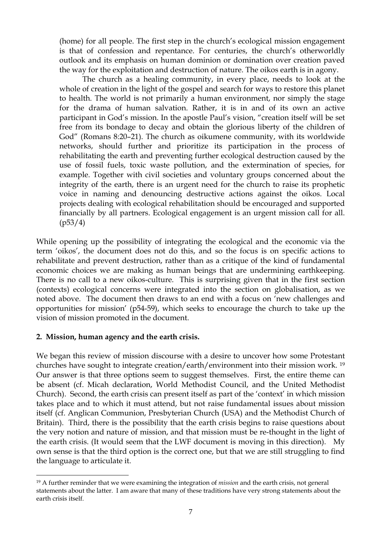(home) for all people. The first step in the church's ecological mission engagement is that of confession and repentance. For centuries, the church's otherworldly outlook and its emphasis on human dominion or domination over creation paved the way for the exploitation and destruction of nature. The oikos earth is in agony.

The church as a healing community, in every place, needs to look at the whole of creation in the light of the gospel and search for ways to restore this planet to health. The world is not primarily a human environment, nor simply the stage for the drama of human salvation. Rather, it is in and of its own an active participant in God's mission. In the apostle Paul's vision, "creation itself will be set free from its bondage to decay and obtain the glorious liberty of the children of God" (Romans 8:20–21). The church as oikumene community, with its worldwide networks, should further and prioritize its participation in the process of rehabilitating the earth and preventing further ecological destruction caused by the use of fossil fuels, toxic waste pollution, and the extermination of species, for example. Together with civil societies and voluntary groups concerned about the integrity of the earth, there is an urgent need for the church to raise its prophetic voice in naming and denouncing destructive actions against the oikos. Local projects dealing with ecological rehabilitation should be encouraged and supported financially by all partners. Ecological engagement is an urgent mission call for all. (p53/4)

While opening up the possibility of integrating the ecological and the economic via the term 'oikos', the document does not do this, and so the focus is on specific actions to rehabilitate and prevent destruction, rather than as a critique of the kind of fundamental economic choices we are making as human beings that are undermining earthkeeping. There is no call to a new oikos-culture. This is surprising given that in the first section (contexts) ecological concerns were integrated into the section on globalisation, as we noted above. The document then draws to an end with a focus on 'new challenges and opportunities for mission' (p54-59), which seeks to encourage the church to take up the vision of mission promoted in the document.

### **2. Mission, human agency and the earth crisis.**

 $\overline{a}$ 

We began this review of mission discourse with a desire to uncover how some Protestant churches have sought to integrate creation/earth/environment into their mission work. [19](#page-6-0) Our answer is that three options seem to suggest themselves. First, the entire theme can be absent (cf. Micah declaration, World Methodist Council, and the United Methodist Church). Second, the earth crisis can present itself as part of the 'context' in which mission takes place and to which it must attend, but not raise fundamental issues about mission itself (cf. Anglican Communion, Presbyterian Church (USA) and the Methodist Church of Britain). Third, there is the possibility that the earth crisis begins to raise questions about the very notion and nature of mission, and that mission must be re-thought in the light of the earth crisis. (It would seem that the LWF document is moving in this direction). My own sense is that the third option is the correct one, but that we are still struggling to find the language to articulate it.

<span id="page-6-0"></span><sup>19</sup> A further reminder that we were examining the integration of *mission* and the earth crisis, not general statements about the latter. I am aware that many of these traditions have very strong statements about the earth crisis itself.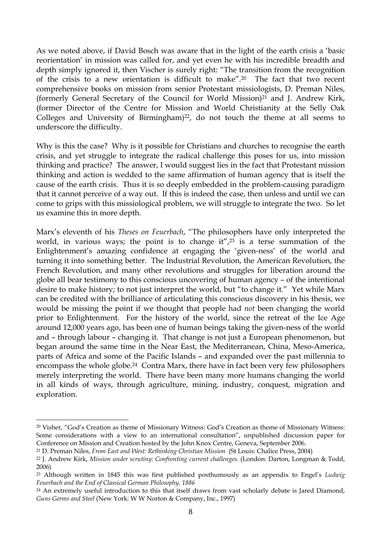As we noted above, if David Bosch was aware that in the light of the earth crisis a 'basic reorientation' in mission was called for, and yet even he with his incredible breadth and depth simply ignored it, then Vischer is surely right: "The transition from the recognition of the crisis to a new orientation is difficult to make"[.20](#page-7-0) The fact that two recent comprehensive books on mission from senior Protestant missiologists, D. Preman Niles, (formerly General Secretary of the Council for World Mission[\)21](#page-7-1) and J. Andrew Kirk, (former Director of the Centre for Mission and World Christianity at the Selly Oak Colleges and University of Birmingham) $22$ , do not touch the theme at all seems to underscore the difficulty.

Why is this the case? Why is it possible for Christians and churches to recognise the earth crisis, and yet struggle to integrate the radical challenge this poses for us, into mission thinking and practice? The answer, I would suggest lies in the fact that Protestant mission thinking and action is wedded to the same affirmation of human agency that is itself the cause of the earth crisis. Thus it is so deeply embedded in the problem-causing paradigm that it cannot perceive of a way out. If this is indeed the case, then unless and until we can come to grips with this missiological problem, we will struggle to integrate the two. So let us examine this in more depth.

Marx's eleventh of his *Theses on Feuerbach*, "The philosophers have only interpreted the world, in various ways; the point is to change it", $2<sup>3</sup>$  is a terse summation of the Enlightenment's amazing confidence at engaging the 'given-ness' of the world and turning it into something better. The Industrial Revolution, the American Revolution, the French Revolution, and many other revolutions and struggles for liberation around the globe all bear testimony to this conscious uncovering of human agency – of the intentional desire to make history; to not just interpret the world, but "to change it." Yet while Marx can be credited with the brilliance of articulating this conscious discovery in his thesis, we would be missing the point if we thought that people had *not* been changing the world prior to Enlightenment. For the history of the world, since the retreat of the Ice Age around 12,000 years ago, has been one of human beings taking the given-ness of the world and – through labour – changing it. That change is not just a European phenomenon, but began around the same time in the Near East, the Mediterranean, China, Meso-America, parts of Africa and some of the Pacific Islands – and expanded over the past millennia to encompass the whole globe[.24](#page-7-4) Contra Marx, there have in fact been very few philosophers merely interpreting the world. There have been many more humans changing the world in all kinds of ways, through agriculture, mining, industry, conquest, migration and exploration.

<span id="page-7-0"></span><sup>20</sup> Visher, "God's Creation as theme of Missionary Witness: God's Creation as theme of Missionary Witness: Some considerations with a view to an international consultation", unpublished discussion paper for Conference on Mission and Creation hosted by the John Knox Centre, Geneva, September 2006.

<span id="page-7-1"></span><sup>21</sup> D. Preman Niles, *From East and West: Rethinking Christian Mission* (St Louis: Chalice Press, 2004)

<span id="page-7-2"></span><sup>22</sup> J. Andrew Kirk, *Mission under scrutiny: Confronting current challenges.* (London: Darton, Longman & Todd, 2006)

<span id="page-7-3"></span><sup>23</sup> Although written in 1845 this was first published posthumously as an appendix to Engel's *Ludwig Feuerbach and the End of Classical German Philosophy, 1886*

<span id="page-7-4"></span><sup>&</sup>lt;sup>24</sup> An extremely useful introduction to this that itself draws from vast scholarly debate is Jared Diamond, *Guns Germs and Steel* (New York: W W Norton & Company, Inc., 1997)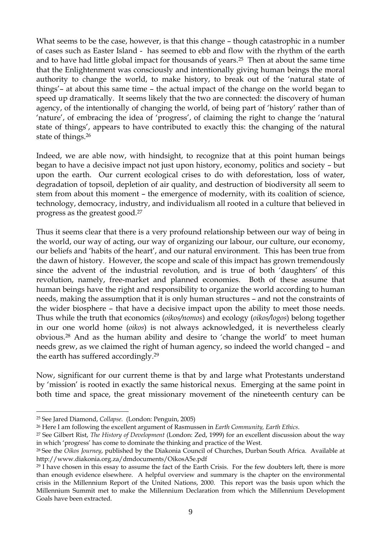What seems to be the case, however, is that this change – though catastrophic in a number of cases such as Easter Island - has seemed to ebb and flow with the rhythm of the earth and to have had little global impact for thousands of years[.25](#page-8-0) Then at about the same time that the Enlightenment was consciously and intentionally giving human beings the moral authority to change the world, to make history, to break out of the 'natural state of things'– at about this same time – the actual impact of the change on the world began to speed up dramatically. It seems likely that the two are connected: the discovery of human agency, of the intentionally of changing the world, of being part of 'history' rather than of 'nature', of embracing the idea of 'progress', of claiming the right to change the 'natural state of things', appears to have contributed to exactly this: the changing of the natural state of things[.26](#page-8-1) 

Indeed, we are able now, with hindsight, to recognize that at this point human beings began to have a decisive impact not just upon history, economy, politics and society – but upon the earth. Our current ecological crises to do with deforestation, loss of water, degradation of topsoil, depletion of air quality, and destruction of biodiversity all seem to stem from about this moment – the emergence of modernity, with its coalition of science, technology, democracy, industry, and individualism all rooted in a culture that believed in progress as the greatest good[.27](#page-8-2)

Thus it seems clear that there is a very profound relationship between our way of being in the world, our way of acting, our way of organizing our labour, our culture, our economy, our beliefs and 'habits of the heart', and our natural environment. This has been true from the dawn of history. However, the scope and scale of this impact has grown tremendously since the advent of the industrial revolution, and is true of both 'daughters' of this revolution, namely, free-market and planned economies. Both of these assume that human beings have the right and responsibility to organize the world according to human needs, making the assumption that it is only human structures – and not the constraints of the wider biosphere – that have a decisive impact upon the ability to meet those needs. Thus while the truth that economics (*oikos/nomos*) and ecology (*oikos/logos*) belong together in our one world home (*oikos*) is not always acknowledged, it is nevertheless clearly obvious[.28](#page-8-3) And as the human ability and desire to 'change the world' to meet human needs grew, as we claimed the right of human agency, so indeed the world changed – and the earth has suffered accordingly[.29](#page-8-4)

Now, significant for our current theme is that by and large what Protestants understand by 'mission' is rooted in exactly the same historical nexus. Emerging at the same point in both time and space, the great missionary movement of the nineteenth century can be

<span id="page-8-0"></span><sup>25</sup> See Jared Diamond, *Collapse*. (London: Penguin, 2005)

<span id="page-8-2"></span><span id="page-8-1"></span>

<sup>26</sup> Here I am following the excellent argument of Rasmussen in *Earth Community, Earth Ethics*. 27 See Gilbert Rist, *The History of Development* (London: Zed, 1999) for an excellent discussion about the way in which 'progress' has come to dominate the thinking and practice of the West.

<span id="page-8-3"></span><sup>28</sup> See the *Oikos Journey*, published by the Diakonia Council of Churches, Durban South Africa. Available at http://www.diakonia.org.za/dmdocuments/OikosA5e.pdf

<span id="page-8-4"></span><sup>&</sup>lt;sup>29</sup> I have chosen in this essay to assume the fact of the Earth Crisis. For the few doubters left, there is more than enough evidence elsewhere. A helpful overview and summary is the chapter on the environmental crisis in the Millennium Report of the United Nations, 2000. This report was the basis upon which the Millennium Summit met to make the Millennium Declaration from which the Millennium Development Goals have been extracted.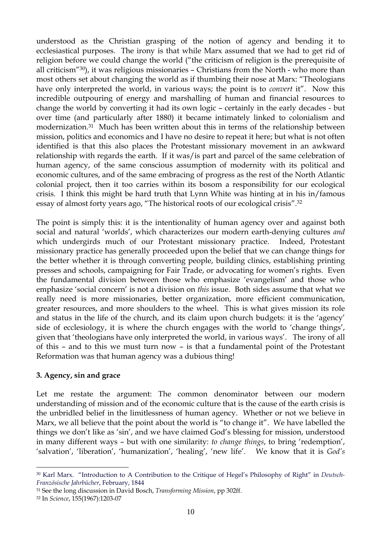understood as the Christian grasping of the notion of agency and bending it to ecclesiastical purposes. The irony is that while Marx assumed that we had to get rid of religion before we could change the world ("the criticism of religion is the prerequisite of all criticism["30\)](#page-9-0), it was religious missionaries – Christians from the North - who more than most others set about changing the world as if thumbing their nose at Marx: "Theologians have only interpreted the world, in various ways; the point is to *convert* it". Now this incredible outpouring of energy and marshalling of human and financial resources to change the world by converting it had its own logic – certainly in the early decades - but over time (and particularly after 1880) it became intimately linked to colonialism and modernization[.31](#page-9-1) Much has been written about this in terms of the relationship between mission, politics and economics and I have no desire to repeat it here; but what is not often identified is that this also places the Protestant missionary movement in an awkward relationship with regards the earth. If it was/is part and parcel of the same celebration of human agency, of the same conscious assumption of modernity with its political and economic cultures, and of the same embracing of progress as the rest of the North Atlantic colonial project, then it too carries within its bosom a responsibility for our ecological crisis. I think this might be hard truth that Lynn White was hinting at in his in/famous essay of almost forty years ago, "The historical roots of our ecological crisis".[32](#page-9-2)

The point is simply this: it is the intentionality of human agency over and against both social and natural 'worlds', which characterizes our modern earth-denying cultures *and* which undergirds much of our Protestant missionary practice. Indeed, Protestant missionary practice has generally proceeded upon the belief that we can change things for the better whether it is through converting people, building clinics, establishing printing presses and schools, campaigning for Fair Trade, or advocating for women's rights. Even the fundamental division between those who emphasize 'evangelism' and those who emphasize 'social concern' is not a division on *this* issue. Both sides assume that what we really need is more missionaries, better organization, more efficient communication, greater resources, and more shoulders to the wheel. This is what gives mission its role and status in the life of the church, and its claim upon church budgets: it is the 'agency' side of ecclesiology, it is where the church engages with the world to 'change things', given that 'theologians have only interpreted the world, in various ways'. The irony of all of this – and to this we must turn now – is that a fundamental point of the Protestant Reformation was that human agency was a dubious thing!

### **3. Agency, sin and grace**

Let me restate the argument: The common denominator between our modern understanding of mission and of the economic culture that is the cause of the earth crisis is the unbridled belief in the limitlessness of human agency. Whether or not we believe in Marx, we all believe that the point about the world is "to change it". We have labelled the things we don't like as 'sin', and we have claimed God's blessing for mission, understood in many different ways – but with one similarity: *to change things*, to bring 'redemption', 'salvation', 'liberation', 'humanization', 'healing', 'new life'. We know that it is *God's*

<span id="page-9-0"></span><sup>30</sup> Karl Marx. "Introduction to A Contribution to the Critique of Hegel's Philosophy of Right" in *Deutsch-Französische Jahrbücher*, February, 1844

<span id="page-9-1"></span><sup>31</sup> See the long discussion in David Bosch, *Transforming Mission*, pp 302ff.

<span id="page-9-2"></span><sup>32</sup> In *Science*, 155(1967):1203-07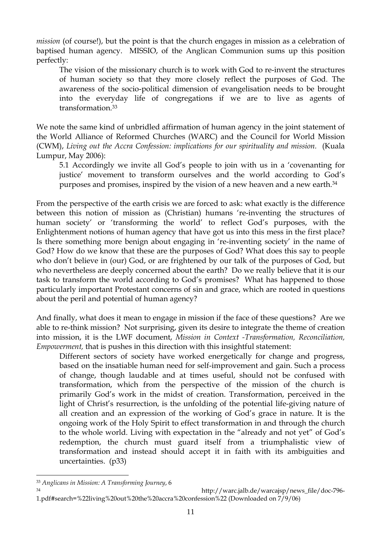*mission* (of course!), but the point is that the church engages in mission as a celebration of baptised human agency. MISSIO, of the Anglican Communion sums up this position perfectly:

The vision of the missionary church is to work with God to re-invent the structures of human society so that they more closely reflect the purposes of God. The awareness of the socio-political dimension of evangelisation needs to be brought into the everyday life of congregations if we are to live as agents of transformation[.33](#page-10-0)

We note the same kind of unbridled affirmation of human agency in the joint statement of the World Alliance of Reformed Churches (WARC) and the Council for World Mission (CWM), *Living out the Accra Confession: implications for our spirituality and mission.* (Kuala Lumpur, May 2006):

5.1 Accordingly we invite all God's people to join with us in a 'covenanting for justice' movement to transform ourselves and the world according to God's purposes and promises, inspired by the vision of a new heaven and a new earth.<sup>[34](#page-10-1)</sup>

From the perspective of the earth crisis we are forced to ask: what exactly is the difference between this notion of mission as (Christian) humans 're-inventing the structures of human society' or 'transforming the world' to reflect God's purposes, with the Enlightenment notions of human agency that have got us into this mess in the first place? Is there something more benign about engaging in 're-inventing society' in the name of God? How do we know that these are the purposes of God? What does this say to people who don't believe in (our) God, or are frightened by our talk of the purposes of God, but who nevertheless are deeply concerned about the earth? Do we really believe that it is our task to transform the world according to God's promises? What has happened to those particularly important Protestant concerns of sin and grace, which are rooted in questions about the peril and potential of human agency?

And finally, what does it mean to engage in mission if the face of these questions? Are we able to re-think mission? Not surprising, given its desire to integrate the theme of creation into mission, it is the LWF document, *Mission in Context -Transformation, Reconciliation, Empowerment,* that is pushes in this direction with this insightful statement:

Different sectors of society have worked energetically for change and progress, based on the insatiable human need for self-improvement and gain. Such a process of change, though laudable and at times useful, should not be confused with transformation, which from the perspective of the mission of the church is primarily God's work in the midst of creation. Transformation, perceived in the light of Christ's resurrection, is the unfolding of the potential life-giving nature of all creation and an expression of the working of God's grace in nature. It is the ongoing work of the Holy Spirit to effect transformation in and through the church to the whole world. Living with expectation in the "already and not yet" of God's redemption, the church must guard itself from a triumphalistic view of transformation and instead should accept it in faith with its ambiguities and uncertainties. (p33)

<span id="page-10-0"></span><sup>33</sup> *Anglicans in Mission: A Transforming Journey*, 6

<span id="page-10-1"></span><sup>34</sup> http://warc.jalb.de/warcajsp/news\_file/doc-796- 1.pdf#search=%22living%20out%20the%20accra%20confession%22 (Downloaded on 7/9/06)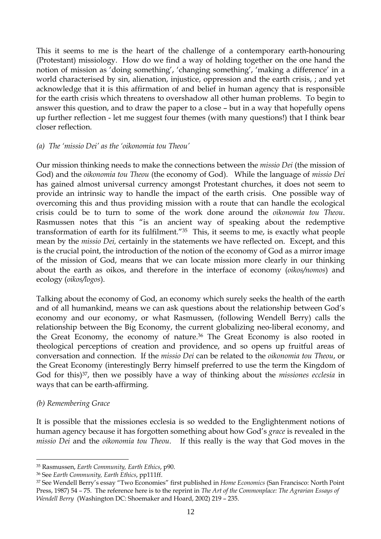This it seems to me is the heart of the challenge of a contemporary earth-honouring (Protestant) missiology. How do we find a way of holding together on the one hand the notion of mission as 'doing something', 'changing something', 'making a difference' in a world characterised by sin, alienation, injustice, oppression and the earth crisis, ; and yet acknowledge that it is this affirmation of and belief in human agency that is responsible for the earth crisis which threatens to overshadow all other human problems. To begin to answer this question, and to draw the paper to a close – but in a way that hopefully opens up further reflection - let me suggest four themes (with many questions!) that I think bear closer reflection.

### *(a) The 'missio Dei' as the 'oikonomia tou Theou'*

Our mission thinking needs to make the connections between the *missio Dei* (the mission of God) and the *oikonomia tou Theou* (the economy of God). While the language of *missio Dei* has gained almost universal currency amongst Protestant churches, it does not seem to provide an intrinsic way to handle the impact of the earth crisis. One possible way of overcoming this and thus providing mission with a route that can handle the ecological crisis could be to turn to some of the work done around the *oikonomia tou Theou*. Rasmussen notes that this "is an ancient way of speaking about the redemptive transformation of earth for its fulfilment."[35](#page-11-0) This, it seems to me, is exactly what people mean by the *missio Dei,* certainly in the statements we have reflected on. Except, and this is the crucial point, the introduction of the notion of the economy of God as a mirror image of the mission of God, means that we can locate mission more clearly in our thinking about the earth as oikos, and therefore in the interface of economy (*oikos/nomos*) and ecology (*oikos/logos*).

Talking about the economy of God, an economy which surely seeks the health of the earth and of all humankind, means we can ask questions about the relationship between God's economy and our economy, or what Rasmussen, (following Wendell Berry) calls the relationship between the Big Economy, the current globalizing neo-liberal economy, and the Great Economy, the economy of nature[.36](#page-11-1) The Great Economy is also rooted in theological perceptions of creation and providence, and so opens up fruitful areas of conversation and connection. If the *missio Dei* can be related to the *oikonomia tou Theou*, or the Great Economy (interestingly Berry himself preferred to use the term the Kingdom of God for this)[37,](#page-11-2) then we possibly have a way of thinking about the *missiones ecclesia* in ways that can be earth-affirming.

# *(b) Remembering Grace*

It is possible that the missiones ecclesia is so wedded to the Englightenment notions of human agency because it has forgotten something about how God's *grace* is revealed in the *missio Dei* and the *oikonomia tou Theou*. If this really is the way that God moves in the

<span id="page-11-0"></span> $\overline{a}$ 35 Rasmussen, *Earth Community, Earth Ethics*, p90.

<span id="page-11-1"></span>

<span id="page-11-2"></span><sup>36</sup> See *Earth Community, Earth Ethics*, pp111ff. 37 See Wendell Berry's essay "Two Economies" first published in *Home Economics* (San Francisco: North Point Press, 1987) 54 – 75. The reference here is to the reprint in *The Art of the Commonplace: The Agrarian Essays of Wendell Berry* (Washington DC: Shoemaker and Hoard, 2002) 219 – 235.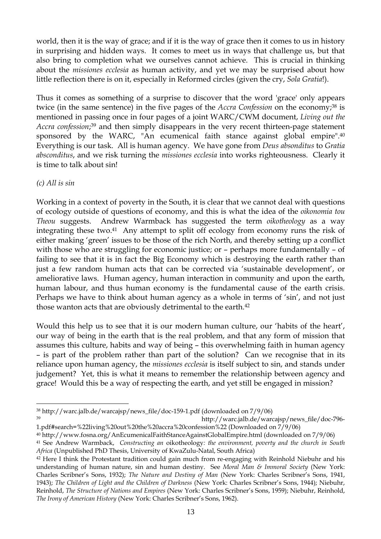world, then it is the way of grace; and if it is the way of grace then it comes to us in history in surprising and hidden ways. It comes to meet us in ways that challenge us, but that also bring to completion what we ourselves cannot achieve. This is crucial in thinking about the *missiones ecclesia* as human activity, and yet we may be surprised about how little reflection there is on it, especially in Reformed circles (given the cry, *Sola Gratia*!).

Thus it comes as something of a surprise to discover that the word 'grace' only appears twice (in the same sentence) in the five pages of the *Accra Confession* on the economy;<sup>38</sup> is mentioned in passing once in four pages of a joint WARC/CWM document, *Living out the Accra confession*; [39](#page-12-1) and then simply disappears in the very recent thirteen-page statement sponsored by the WARC, "An ecumenical faith stance against global empire"[.40](#page-12-2)  Everything is our task. All is human agency. We have gone from *Deus absonditus* to *Gratia absconditus*, and we risk turning the *missiones ecclesia* into works righteousness. Clearly it is time to talk about sin!

## *(c) All is sin*

Working in a context of poverty in the South, it is clear that we cannot deal with questions of ecology outside of questions of economy, and this is what the idea of the *oikonomia tou Theou* suggests. Andrew Warmback has suggested the term *oikotheology* as a way integrating these two[.41](#page-12-3) Any attempt to split off ecology from economy runs the risk of either making 'green' issues to be those of the rich North, and thereby setting up a conflict with those who are struggling for economic justice; or – perhaps more fundamentally – of failing to see that it is in fact the Big Economy which is destroying the earth rather than just a few random human acts that can be corrected via 'sustainable development', or ameliorative laws. Human agency, human interaction in community and upon the earth, human labour, and thus human economy is the fundamental cause of the earth crisis. Perhaps we have to think about human agency as a whole in terms of 'sin', and not just those wanton acts that are obviously detrimental to the earth.<sup>42</sup>

Would this help us to see that it is our modern human culture, our 'habits of the heart', our way of being in the earth that is the real problem, and that any form of mission that assumes this culture, habits and way of being – this overwhelming faith in human agency – is part of the problem rather than part of the solution? Can we recognise that in its reliance upon human agency, the *missiones ecclesia* is itself subject to sin, and stands under judgement? Yet, this is what it means to remember the relationship between agency and grace! Would this be a way of respecting the earth, and yet still be engaged in mission?

<span id="page-12-1"></span>39 http://warc.jalb.de/warcajsp/news\_file/doc-796-

<span id="page-12-0"></span> $\overline{a}$ <sup>38</sup> [http://warc.jalb.de/warcajsp/news\\_file/doc-159-1.pdf](http://warc.jalb.de/warcajsp/news_file/doc-159-1.pdf) (downloaded on 7/9/06)

<sup>1.</sup>pdf#search=%22living%20out%20the%20accra%20confession%22 (Downloaded on 7/9/06)

<span id="page-12-3"></span><span id="page-12-2"></span><sup>40</sup> http://www.fosna.org/AnEcumenicalFaithStanceAgainstGlobalEmpire.html (downloaded on 7/9/06) 41 See Andrew Warmback, *Constructing an* oikotheology*: the environment, poverty and the church in South Africa* (Unpublished PhD Thesis, University of KwaZulu-Natal, South Africa)

<span id="page-12-4"></span><sup>&</sup>lt;sup>42</sup> Here I think the Protestant tradition could gain much from re-engaging with Reinhold Niebuhr and his understanding of human nature, sin and human destiny. See *Moral Man & Immoral Society* (New York: Charles Scribner's Sons, 1932); *The Nature and Destiny of Man* (New York: Charles Scribner's Sons, 1941, 1943); *The Children of Light and the Children of Darkness* (New York: Charles Scribner's Sons, 1944); Niebuhr, Reinhold, *The Structure of Nations and Empires* (New York: Charles Scribner's Sons, 1959); Niebuhr, Reinhold, *The Irony of American History* (New York: Charles Scribner's Sons, 1962).